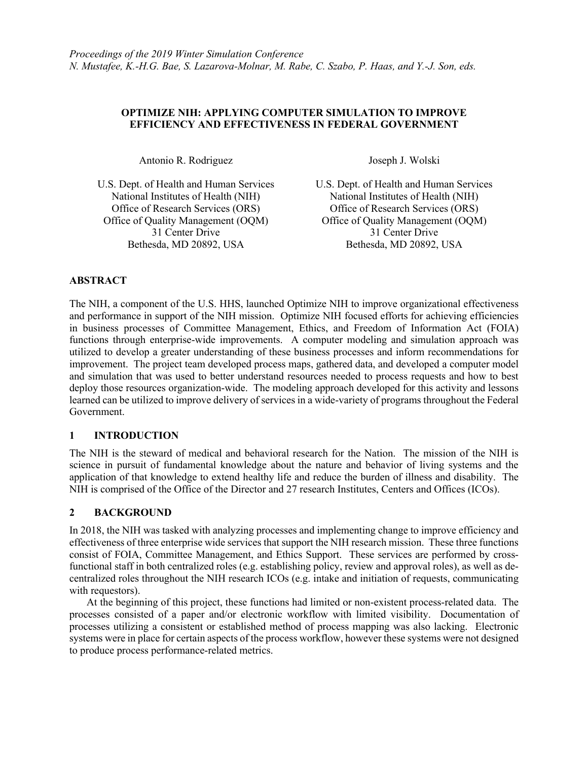## **OPTIMIZE NIH: APPLYING COMPUTER SIMULATION TO IMPROVE EFFICIENCY AND EFFECTIVENESS IN FEDERAL GOVERNMENT**

Antonio R. Rodriguez

U.S. Dept. of Health and Human Services National Institutes of Health (NIH) Office of Research Services (ORS) Office of Quality Management (OQM) 31 Center Drive Bethesda, MD 20892, USA

Joseph J. Wolski

U.S. Dept. of Health and Human Services National Institutes of Health (NIH) Office of Research Services (ORS) Office of Quality Management (OQM) 31 Center Drive Bethesda, MD 20892, USA

# **ABSTRACT**

The NIH, a component of the U.S. HHS, launched Optimize NIH to improve organizational effectiveness and performance in support of the NIH mission. Optimize NIH focused efforts for achieving efficiencies in business processes of Committee Management, Ethics, and Freedom of Information Act (FOIA) functions through enterprise-wide improvements. A computer modeling and simulation approach was utilized to develop a greater understanding of these business processes and inform recommendations for improvement. The project team developed process maps, gathered data, and developed a computer model and simulation that was used to better understand resources needed to process requests and how to best deploy those resources organization-wide. The modeling approach developed for this activity and lessons learned can be utilized to improve delivery of services in a wide-variety of programs throughout the Federal Government.

# **1 INTRODUCTION**

The NIH is the steward of medical and behavioral research for the Nation. The mission of the NIH is science in pursuit of fundamental knowledge about the nature and behavior of living systems and the application of that knowledge to extend healthy life and reduce the burden of illness and disability. The NIH is comprised of the Office of the Director and 27 research Institutes, Centers and Offices (ICOs).

## **2 BACKGROUND**

In 2018, the NIH was tasked with analyzing processes and implementing change to improve efficiency and effectiveness of three enterprise wide services that support the NIH research mission. These three functions consist of FOIA, Committee Management, and Ethics Support. These services are performed by crossfunctional staff in both centralized roles (e.g. establishing policy, review and approval roles), as well as decentralized roles throughout the NIH research ICOs (e.g. intake and initiation of requests, communicating with requestors).

At the beginning of this project, these functions had limited or non-existent process-related data. The processes consisted of a paper and/or electronic workflow with limited visibility. Documentation of processes utilizing a consistent or established method of process mapping was also lacking. Electronic systems were in place for certain aspects of the process workflow, however these systems were not designed to produce process performance-related metrics.